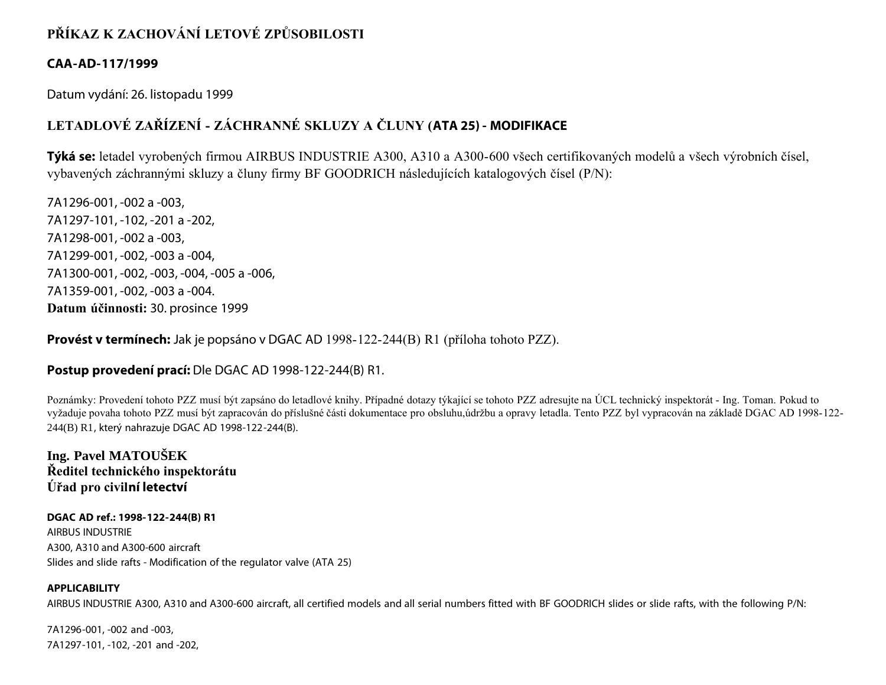# **PŘÍKAZ K ZACHOVÁNÍ LETOVÉ ZPŮSOBILOSTI**

## **CAA-AD-117/1999**

Datum vydání: 26. listopadu 1999

# **LETADLOVÉ ZAŘÍZENÍ - ZÁCHRANNÉ SKLUZY A ČLUNY (ATA 25) - MODIFIKACE**

**Týká se:** letadel vyrobených firmou AIRBUS INDUSTRIE A300, A310 a A300-600 všech certifikovaných modelů a všech výrobních čísel, vybavených záchrannými skluzy a čluny firmy BF GOODRICH následujících katalogových čísel (P/N):

7A1296-001, -002 a -003, 7A1297-101, -102, -201 a -202, 7A1298-001, -002 a -003, 7A1299-001, -002, -003 a -004, 7A1300-001, -002, -003, -004, -005 a -006, 7A1359-001, -002, -003 a -004. **Datum účinnosti:** 30. prosince 1999

**Provést v termínech:** Jak je popsáno v DGAC AD 1998-122-244(B) R1 (příloha tohoto PZZ).

# **Postup provedení prací:** Dle DGAC AD 1998-122-244(B) R1.

Poznámky: Provedení tohoto PZZ musí být zapsáno do letadlové knihy. Případné dotazy týkající se tohoto PZZ adresujte na ÚCL technický inspektorát - Ing. Toman. Pokud to vyžaduje povaha tohoto PZZ musí být zapracován do příslušné části dokumentace pro obsluhu,údržbu a opravy letadla. Tento PZZ byl vypracován na základě DGAC AD 1998-122- 244(B) R1, který nahrazuje DGAC AD 1998-122-244(B).

**Ing. Pavel MATOUŠEK Ředitel technického inspektorátu Úřad pro civilní letectví**

**DGAC AD ref.: 1998-122-244(B) R1** AIRBUS INDUSTRIE A300, A310 and A300-600 aircraft Slides and slide rafts - Modification of the regulator valve (ATA 25)

## **APPLICABILITY**

AIRBUS INDUSTRIE A300, A310 and A300-600 aircraft, all certified models and all serial numbers fitted with BF GOODRICH slides or slide rafts, with the following P/N:

7A1296-001, -002 and -003, 7A1297-101, -102, -201 and -202,